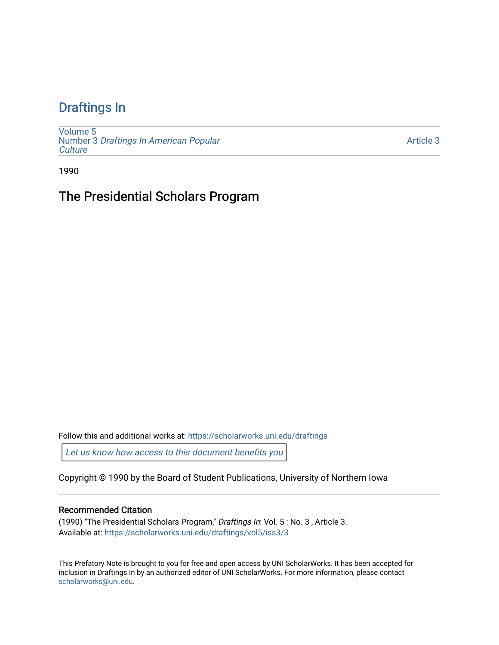## [Draftings In](https://scholarworks.uni.edu/draftings)

[Volume 5](https://scholarworks.uni.edu/draftings/vol5) Number 3 [Draftings In American Popular](https://scholarworks.uni.edu/draftings/vol5/iss3) **Culture** 

[Article 3](https://scholarworks.uni.edu/draftings/vol5/iss3/3) 

1990

## The Presidential Scholars Program

Follow this and additional works at: [https://scholarworks.uni.edu/draftings](https://scholarworks.uni.edu/draftings?utm_source=scholarworks.uni.edu%2Fdraftings%2Fvol5%2Fiss3%2F3&utm_medium=PDF&utm_campaign=PDFCoverPages) 

[Let us know how access to this document benefits you](https://scholarworks.uni.edu/feedback_form.html) 

Copyright © 1990 by the Board of Student Publications, University of Northern Iowa

## Recommended Citation

(1990) "The Presidential Scholars Program," Draftings In: Vol. 5 : No. 3 , Article 3. Available at: [https://scholarworks.uni.edu/draftings/vol5/iss3/3](https://scholarworks.uni.edu/draftings/vol5/iss3/3?utm_source=scholarworks.uni.edu%2Fdraftings%2Fvol5%2Fiss3%2F3&utm_medium=PDF&utm_campaign=PDFCoverPages)

This Prefatory Note is brought to you for free and open access by UNI ScholarWorks. It has been accepted for inclusion in Draftings In by an authorized editor of UNI ScholarWorks. For more information, please contact [scholarworks@uni.edu](mailto:scholarworks@uni.edu).